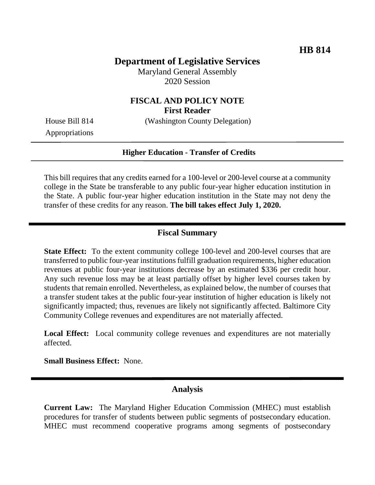# **Department of Legislative Services**

Maryland General Assembly 2020 Session

### **FISCAL AND POLICY NOTE First Reader**

House Bill 814 (Washington County Delegation)

Appropriations

#### **Higher Education - Transfer of Credits**

This bill requires that any credits earned for a 100-level or 200-level course at a community college in the State be transferable to any public four-year higher education institution in the State. A public four-year higher education institution in the State may not deny the transfer of these credits for any reason. **The bill takes effect July 1, 2020.**

### **Fiscal Summary**

**State Effect:** To the extent community college 100-level and 200-level courses that are transferred to public four-year institutions fulfill graduation requirements, higher education revenues at public four-year institutions decrease by an estimated \$336 per credit hour. Any such revenue loss may be at least partially offset by higher level courses taken by students that remain enrolled. Nevertheless, as explained below, the number of courses that a transfer student takes at the public four-year institution of higher education is likely not significantly impacted; thus, revenues are likely not significantly affected. Baltimore City Community College revenues and expenditures are not materially affected.

**Local Effect:** Local community college revenues and expenditures are not materially affected.

**Small Business Effect:** None.

### **Analysis**

**Current Law:** The Maryland Higher Education Commission (MHEC) must establish procedures for transfer of students between public segments of postsecondary education. MHEC must recommend cooperative programs among segments of postsecondary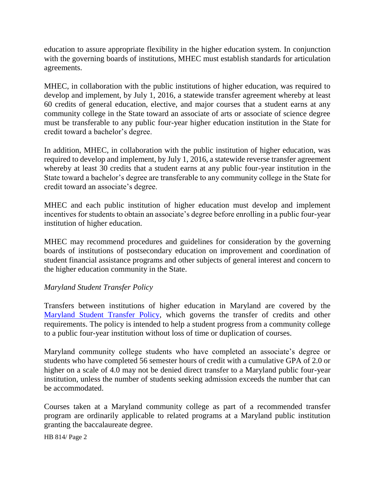education to assure appropriate flexibility in the higher education system. In conjunction with the governing boards of institutions, MHEC must establish standards for articulation agreements.

MHEC, in collaboration with the public institutions of higher education, was required to develop and implement, by July 1, 2016, a statewide transfer agreement whereby at least 60 credits of general education, elective, and major courses that a student earns at any community college in the State toward an associate of arts or associate of science degree must be transferable to any public four-year higher education institution in the State for credit toward a bachelor's degree.

In addition, MHEC, in collaboration with the public institution of higher education, was required to develop and implement, by July 1, 2016, a statewide reverse transfer agreement whereby at least 30 credits that a student earns at any public four-year institution in the State toward a bachelor's degree are transferable to any community college in the State for credit toward an associate's degree.

MHEC and each public institution of higher education must develop and implement incentives for students to obtain an associate's degree before enrolling in a public four-year institution of higher education.

MHEC may recommend procedures and guidelines for consideration by the governing boards of institutions of postsecondary education on improvement and coordination of student financial assistance programs and other subjects of general interest and concern to the higher education community in the State.

### *Maryland Student Transfer Policy*

Transfers between institutions of higher education in Maryland are covered by the [Maryland Student Transfer Policy,](https://mhec.maryland.gov/preparing/Pages/stuguide.aspx) which governs the transfer of credits and other requirements. The policy is intended to help a student progress from a community college to a public four-year institution without loss of time or duplication of courses.

Maryland community college students who have completed an associate's degree or students who have completed 56 semester hours of credit with a cumulative GPA of 2.0 or higher on a scale of 4.0 may not be denied direct transfer to a Maryland public four-year institution, unless the number of students seeking admission exceeds the number that can be accommodated.

Courses taken at a Maryland community college as part of a recommended transfer program are ordinarily applicable to related programs at a Maryland public institution granting the baccalaureate degree.

HB 814/ Page 2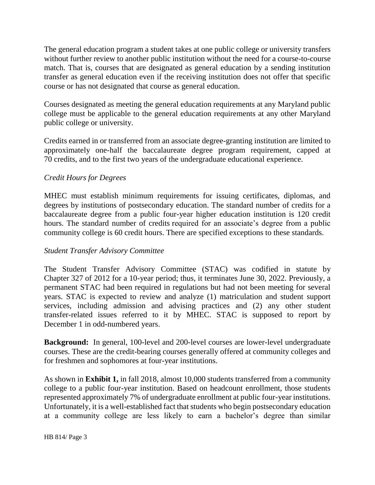The general education program a student takes at one public college or university transfers without further review to another public institution without the need for a course-to-course match. That is, courses that are designated as general education by a sending institution transfer as general education even if the receiving institution does not offer that specific course or has not designated that course as general education.

Courses designated as meeting the general education requirements at any Maryland public college must be applicable to the general education requirements at any other Maryland public college or university.

Credits earned in or transferred from an associate degree-granting institution are limited to approximately one-half the baccalaureate degree program requirement, capped at 70 credits, and to the first two years of the undergraduate educational experience.

# *Credit Hours for Degrees*

MHEC must establish minimum requirements for issuing certificates, diplomas, and degrees by institutions of postsecondary education. The standard number of credits for a baccalaureate degree from a public four-year higher education institution is 120 credit hours. The standard number of credits required for an associate's degree from a public community college is 60 credit hours. There are specified exceptions to these standards.

### *Student Transfer Advisory Committee*

The Student Transfer Advisory Committee (STAC) was codified in statute by Chapter 327 of 2012 for a 10-year period; thus, it terminates June 30, 2022. Previously, a permanent STAC had been required in regulations but had not been meeting for several years. STAC is expected to review and analyze (1) matriculation and student support services, including admission and advising practices and (2) any other student transfer-related issues referred to it by MHEC. STAC is supposed to report by December 1 in odd-numbered years.

**Background:** In general, 100-level and 200-level courses are lower-level undergraduate courses. These are the credit-bearing courses generally offered at community colleges and for freshmen and sophomores at four-year institutions.

As shown in **Exhibit 1,** in fall 2018, almost 10,000 students transferred from a community college to a public four-year institution. Based on headcount enrollment, those students represented approximately 7% of undergraduate enrollment at public four-year institutions. Unfortunately, it is a well-established fact that students who begin postsecondary education at a community college are less likely to earn a bachelor's degree than similar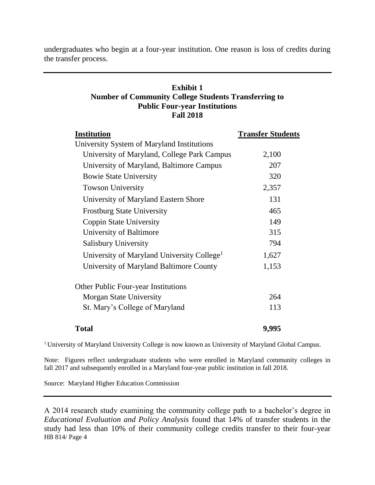undergraduates who begin at a four-year institution. One reason is loss of credits during the transfer process.

### **Exhibit 1 Number of Community College Students Transferring to Public Four-year Institutions Fall 2018**

| <b>Institution</b>                                     | <b>Transfer Students</b> |
|--------------------------------------------------------|--------------------------|
| University System of Maryland Institutions             |                          |
| University of Maryland, College Park Campus            | 2,100                    |
| University of Maryland, Baltimore Campus               | 207                      |
| <b>Bowie State University</b>                          | 320                      |
| <b>Towson University</b>                               | 2,357                    |
| University of Maryland Eastern Shore                   | 131                      |
| <b>Frostburg State University</b>                      | 465                      |
| <b>Coppin State University</b>                         | 149                      |
| University of Baltimore                                | 315                      |
| <b>Salisbury University</b>                            | 794                      |
| University of Maryland University College <sup>1</sup> | 1,627                    |
| University of Maryland Baltimore County                | 1,153                    |
| <b>Other Public Four-year Institutions</b>             |                          |
| Morgan State University                                | 264                      |
| St. Mary's College of Maryland                         | 113                      |
| <b>Total</b>                                           | 9,995                    |

<sup>1</sup> University of Maryland University College is now known as University of Maryland Global Campus.

Note: Figures reflect undergraduate students who were enrolled in Maryland community colleges in fall 2017 and subsequently enrolled in a Maryland four-year public institution in fall 2018.

Source: Maryland Higher Education Commission

HB 814/ Page 4 A 2014 research study examining the community college path to a bachelor's degree in *Educational Evaluation and Policy Analysis* found that 14% of transfer students in the study had less than 10% of their community college credits transfer to their four-year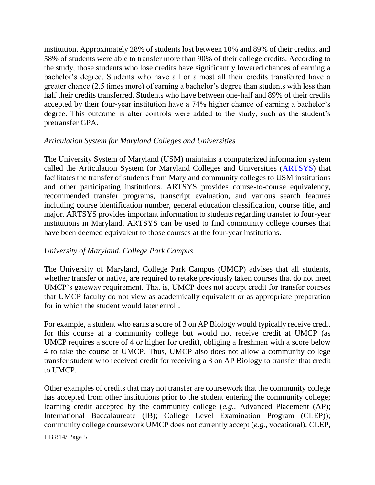institution. Approximately 28% of students lost between 10% and 89% of their credits, and 58% of students were able to transfer more than 90% of their college credits. According to the study, those students who lose credits have significantly lowered chances of earning a bachelor's degree. Students who have all or almost all their credits transferred have a greater chance (2.5 times more) of earning a bachelor's degree than students with less than half their credits transferred. Students who have between one-half and 89% of their credits accepted by their four-year institution have a 74% higher chance of earning a bachelor's degree. This outcome is after controls were added to the study, such as the student's pretransfer GPA.

### *Articulation System for Maryland Colleges and Universities*

The University System of Maryland (USM) maintains a computerized information system called the Articulation System for Maryland Colleges and Universities [\(ARTSYS\)](https://artsys.usmd.edu/) that facilitates the transfer of students from Maryland community colleges to USM institutions and other participating institutions. ARTSYS provides course-to-course equivalency, recommended transfer programs, transcript evaluation, and various search features including course identification number, general education classification, course title, and major. ARTSYS provides important information to students regarding transfer to four-year institutions in Maryland. ARTSYS can be used to find community college courses that have been deemed equivalent to those courses at the four-year institutions.

### *University of Maryland, College Park Campus*

The University of Maryland, College Park Campus (UMCP) advises that all students, whether transfer or native, are required to retake previously taken courses that do not meet UMCP's gateway requirement. That is, UMCP does not accept credit for transfer courses that UMCP faculty do not view as academically equivalent or as appropriate preparation for in which the student would later enroll.

For example, a student who earns a score of 3 on AP Biology would typically receive credit for this course at a community college but would not receive credit at UMCP (as UMCP requires a score of 4 or higher for credit), obliging a freshman with a score below 4 to take the course at UMCP. Thus, UMCP also does not allow a community college transfer student who received credit for receiving a 3 on AP Biology to transfer that credit to UMCP.

Other examples of credits that may not transfer are coursework that the community college has accepted from other institutions prior to the student entering the community college; learning credit accepted by the community college (*e.g.,* Advanced Placement (AP); International Baccalaureate (IB); College Level Examination Program (CLEP)); community college coursework UMCP does not currently accept (*e.g.,* vocational); CLEP,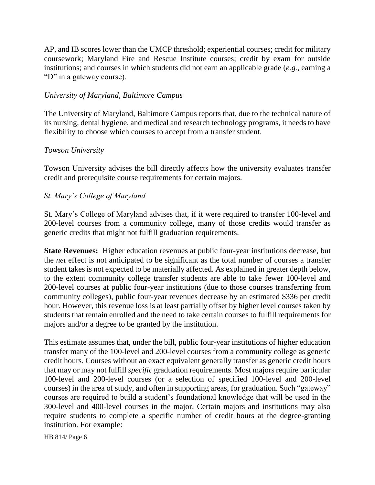AP, and IB scores lower than the UMCP threshold; experiential courses; credit for military coursework; Maryland Fire and Rescue Institute courses; credit by exam for outside institutions; and courses in which students did not earn an applicable grade (*e.g.,* earning a "D" in a gateway course).

### *University of Maryland, Baltimore Campus*

The University of Maryland, Baltimore Campus reports that, due to the technical nature of its nursing, dental hygiene, and medical and research technology programs, it needs to have flexibility to choose which courses to accept from a transfer student.

# *Towson University*

Towson University advises the bill directly affects how the university evaluates transfer credit and prerequisite course requirements for certain majors.

# *St. Mary's College of Maryland*

St. Mary's College of Maryland advises that, if it were required to transfer 100-level and 200-level courses from a community college, many of those credits would transfer as generic credits that might not fulfill graduation requirements.

**State Revenues:** Higher education revenues at public four-year institutions decrease, but the *net* effect is not anticipated to be significant as the total number of courses a transfer student takes is not expected to be materially affected. As explained in greater depth below, to the extent community college transfer students are able to take fewer 100-level and 200-level courses at public four-year institutions (due to those courses transferring from community colleges), public four-year revenues decrease by an estimated \$336 per credit hour. However, this revenue loss is at least partially offset by higher level courses taken by students that remain enrolled and the need to take certain courses to fulfill requirements for majors and/or a degree to be granted by the institution.

This estimate assumes that, under the bill, public four-year institutions of higher education transfer many of the 100-level and 200-level courses from a community college as generic credit hours. Courses without an exact equivalent generally transfer as generic credit hours that may or may not fulfill *specific* graduation requirements. Most majors require particular 100-level and 200-level courses (or a selection of specified 100-level and 200-level courses) in the area of study, and often in supporting areas, for graduation. Such "gateway" courses are required to build a student's foundational knowledge that will be used in the 300-level and 400-level courses in the major. Certain majors and institutions may also require students to complete a specific number of credit hours at the degree-granting institution. For example:

HB 814/ Page 6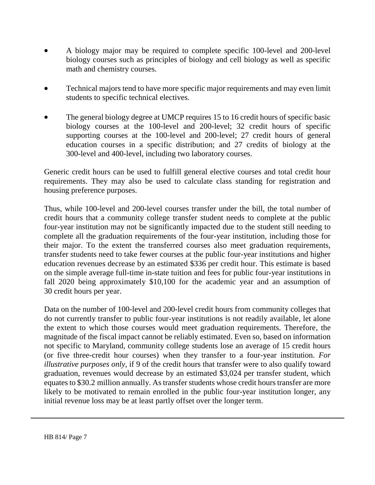- A biology major may be required to complete specific 100-level and 200-level biology courses such as principles of biology and cell biology as well as specific math and chemistry courses.
- Technical majors tend to have more specific major requirements and may even limit students to specific technical electives.
- The general biology degree at UMCP [requires](https://static1.squarespace.com/static/530b693ce4b01ddda83c8078/t/5d657754270b600001fed6e0/1566930772256/GENB_cs_GenEd_2019.pdf) 15 to 16 credit hours of specific basic biology courses at the 100-level and 200-level; 32 credit hours of specific supporting courses at the 100-level and 200-level; 27 credit hours of general education courses in a specific distribution; and 27 credits of biology at the 300-level and 400-level, including two laboratory courses.

Generic credit hours can be used to fulfill general elective courses and total credit hour requirements. They may also be used to calculate class standing for registration and housing preference purposes.

Thus, while 100-level and 200-level courses transfer under the bill, the total number of credit hours that a community college transfer student needs to complete at the public four-year institution may not be significantly impacted due to the student still needing to complete all the graduation requirements of the four-year institution, including those for their major. To the extent the transferred courses also meet graduation requirements, transfer students need to take fewer courses at the public four-year institutions and higher education revenues decrease by an estimated \$336 per credit hour. This estimate is based on the simple average full-time in-state tuition and fees for public four-year institutions in fall 2020 being approximately \$10,100 for the academic year and an assumption of 30 credit hours per year.

Data on the number of 100-level and 200-level credit hours from community colleges that do not currently transfer to public four-year institutions is not readily available, let alone the extent to which those courses would meet graduation requirements. Therefore, the magnitude of the fiscal impact cannot be reliably estimated. Even so, based on information not specific to Maryland, community college students lose an average of 15 credit hours (or five three-credit hour courses) when they transfer to a four-year institution. *For illustrative purposes only*, if 9 of the credit hours that transfer were to also qualify toward graduation, revenues would decrease by an estimated \$3,024 per transfer student, which equates to \$30.2 million annually. As transfer students whose credit hours transfer are more likely to be motivated to remain enrolled in the public four-year institution longer, any initial revenue loss may be at least partly offset over the longer term.